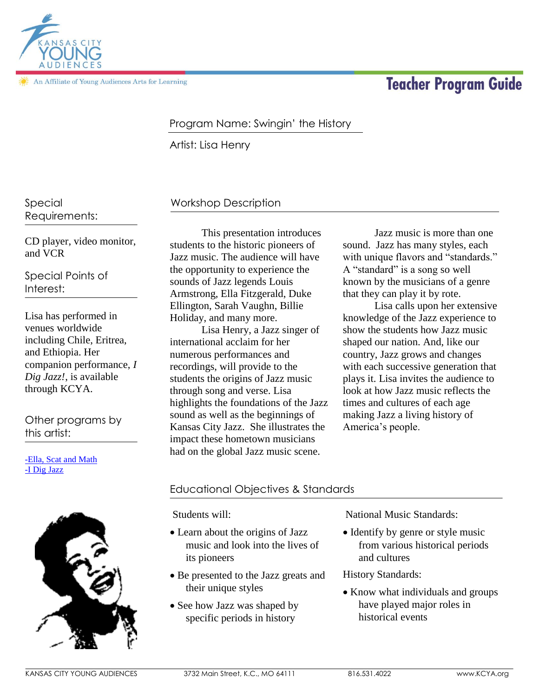

An Affiliate of Young Audiences Arts for Learning

# **Teacher Program Guide**

## Program Name: Swingin' the History

Artist: Lisa Henry

Special Requirements:

CD player, video monitor, and VCR

Special Points of Interest:

Lisa has performed in venues worldwide including Chile, Eritrea, and Ethiopia. Her companion performance, *I Dig Jazz!*, is available through KCYA.

Other programs by this artist:

[-Ella, Scat and Math](http://kcya.lazarusgroup.com/art_catalog.php?page=list&q=item&id=268) [-I Dig Jazz](http://kcya.lazarusgroup.com/art_catalog.php?page=list&q=item&id=268)



## Workshop Description

This presentation introduces students to the historic pioneers of Jazz music. The audience will have the opportunity to experience the sounds of Jazz legends Louis Armstrong, Ella Fitzgerald, Duke Ellington, Sarah Vaughn, Billie Holiday, and many more.

Lisa Henry, a Jazz singer of international acclaim for her numerous performances and recordings, will provide to the students the origins of Jazz music through song and verse. Lisa highlights the foundations of the Jazz sound as well as the beginnings of Kansas City Jazz. She illustrates the impact these hometown musicians had on the global Jazz music scene.

Jazz music is more than one sound. Jazz has many styles, each with unique flavors and "standards." A "standard" is a song so well known by the musicians of a genre that they can play it by rote.

Lisa calls upon her extensive knowledge of the Jazz experience to show the students how Jazz music shaped our nation. And, like our country, Jazz grows and changes with each successive generation that plays it. Lisa invites the audience to look at how Jazz music reflects the times and cultures of each age making Jazz a living history of America's people.

#### Educational Objectives & Standards

Students will:

- Learn about the origins of Jazz music and look into the lives of its pioneers
- Be presented to the Jazz greats and their unique styles
- See how Jazz was shaped by specific periods in history

National Music Standards:

• Identify by genre or style music from various historical periods and cultures

History Standards:

 Know what individuals and groups have played major roles in historical events